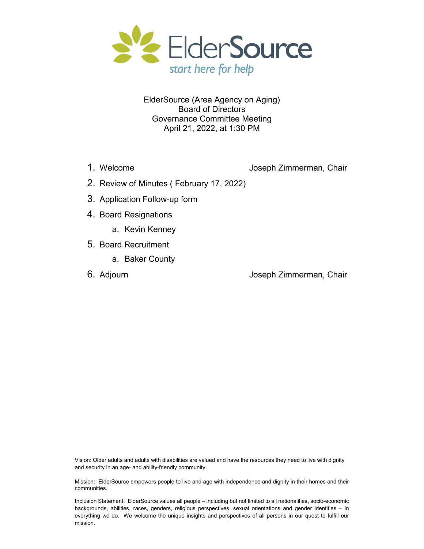

ElderSource (Area Agency on Aging) Board of Directors Governance Committee Meeting April 21, 2022, at 1:30 PM

1. Welcome **1. Welcome 1. Welcome 1. Welcome 1. Welcome 1. Welcome 1. Welcome 1. Welcome 1. Welcome 1. Welcome 1. Welcome 1. Welcome 1. Welcome 1. Welcome 1. Welcome 1. Welcome 1. Welcome 1.** 

- 2. Review of Minutes ( February 17, 2022)
- 3. Application Follow-up form
- 4. Board Resignations
	- a. Kevin Kenney
- 5. Board Recruitment
	- a. Baker County
- 

6. Adjourn Joseph Zimmerman, Chair

Vision: Older adults and adults with disabilities are valued and have the resources they need to live with dignity and security in an age- and ability-friendly community.

Mission: ElderSource empowers people to live and age with independence and dignity in their homes and their communities.

Inclusion Statement: ElderSource values all people – including but not limited to all nationalities, socio-economic backgrounds, abilities, races, genders, religious perspectives, sexual orientations and gender identities – in everything we do. We welcome the unique insights and perspectives of all persons in our quest to fulfill our mission.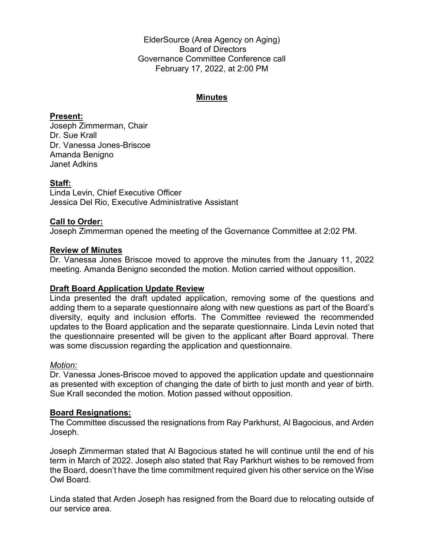ElderSource (Area Agency on Aging) Board of Directors Governance Committee Conference call February 17, 2022, at 2:00 PM

# **Minutes**

## **Present:**

Joseph Zimmerman, Chair Dr. Sue Krall Dr. Vanessa Jones-Briscoe Amanda Benigno Janet Adkins

## **Staff:**

Linda Levin, Chief Executive Officer Jessica Del Rio, Executive Administrative Assistant

### **Call to Order:**

Joseph Zimmerman opened the meeting of the Governance Committee at 2:02 PM.

### **Review of Minutes**

Dr. Vanessa Jones Briscoe moved to approve the minutes from the January 11, 2022 meeting. Amanda Benigno seconded the motion. Motion carried without opposition.

## **Draft Board Application Update Review**

Linda presented the draft updated application, removing some of the questions and adding them to a separate questionnaire along with new questions as part of the Board's diversity, equity and inclusion efforts. The Committee reviewed the recommended updates to the Board application and the separate questionnaire. Linda Levin noted that the questionnaire presented will be given to the applicant after Board approval. There was some discussion regarding the application and questionnaire.

#### *Motion:*

Dr. Vanessa Jones-Briscoe moved to appoved the application update and questionnaire as presented with exception of changing the date of birth to just month and year of birth. Sue Krall seconded the motion. Motion passed without opposition.

#### **Board Resignations:**

The Committee discussed the resignations from Ray Parkhurst, Al Bagocious, and Arden Joseph.

Joseph Zimmerman stated that Al Bagocious stated he will continue until the end of his term in March of 2022. Joseph also stated that Ray Parkhurt wishes to be removed from the Board, doesn't have the time commitment required given his other service on the Wise Owl Board.

Linda stated that Arden Joseph has resigned from the Board due to relocating outside of our service area.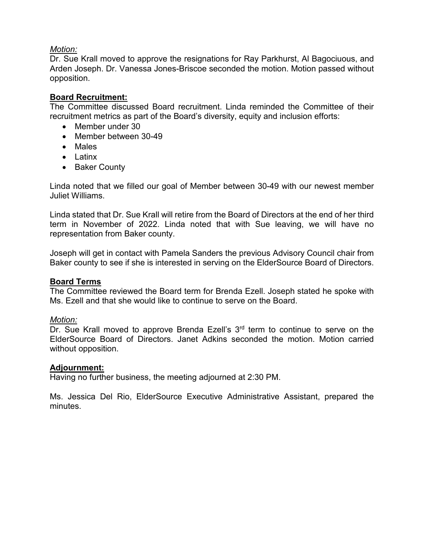# *Motion:*

Dr. Sue Krall moved to approve the resignations for Ray Parkhurst, Al Bagociuous, and Arden Joseph. Dr. Vanessa Jones-Briscoe seconded the motion. Motion passed without opposition.

# **Board Recruitment:**

The Committee discussed Board recruitment. Linda reminded the Committee of their recruitment metrics as part of the Board's diversity, equity and inclusion efforts:

- Member under 30
- Member between 30-49
- Males
- Latinx
- Baker County

Linda noted that we filled our goal of Member between 30-49 with our newest member Juliet Williams.

Linda stated that Dr. Sue Krall will retire from the Board of Directors at the end of her third term in November of 2022. Linda noted that with Sue leaving, we will have no representation from Baker county.

Joseph will get in contact with Pamela Sanders the previous Advisory Council chair from Baker county to see if she is interested in serving on the ElderSource Board of Directors.

## **Board Terms**

The Committee reviewed the Board term for Brenda Ezell. Joseph stated he spoke with Ms. Ezell and that she would like to continue to serve on the Board.

## *Motion:*

Dr. Sue Krall moved to approve Brenda Ezell's  $3<sup>rd</sup>$  term to continue to serve on the ElderSource Board of Directors. Janet Adkins seconded the motion. Motion carried without opposition.

#### **Adjournment:**

Having no further business, the meeting adjourned at 2:30 PM.

Ms. Jessica Del Rio, ElderSource Executive Administrative Assistant, prepared the minutes.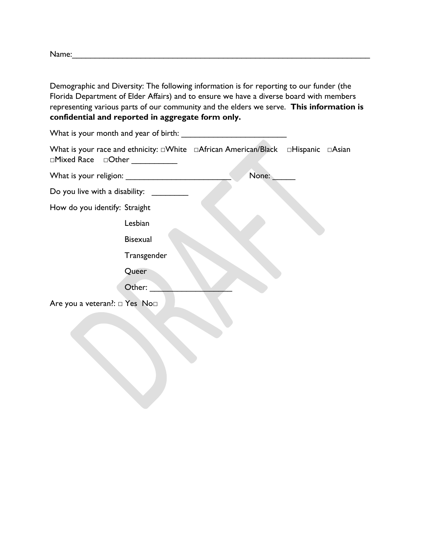Name:

Demographic and Diversity: The following information is for reporting to our funder (the Florida Department of Elder Affairs) and to ensure we have a diverse board with members representing various parts of our community and the elders we serve. **This information is confidential and reported in aggregate form only.**

What is your month and year of birth:

| What is your race and ethnicity: $\Box$ White $\Box$ African American/Black $\Box$ Hispanic $\Box$ Asian<br>□Mixed Race □Other |
|--------------------------------------------------------------------------------------------------------------------------------|
| None:<br>What is your religion: ________                                                                                       |
| Do you live with a disability:                                                                                                 |
| How do you identify: Straight                                                                                                  |
| Lesbian                                                                                                                        |
| <b>Bisexual</b>                                                                                                                |
| Transgender                                                                                                                    |
| Queer                                                                                                                          |
| Other:                                                                                                                         |
| Are you a veteran?: □ Yes No□                                                                                                  |